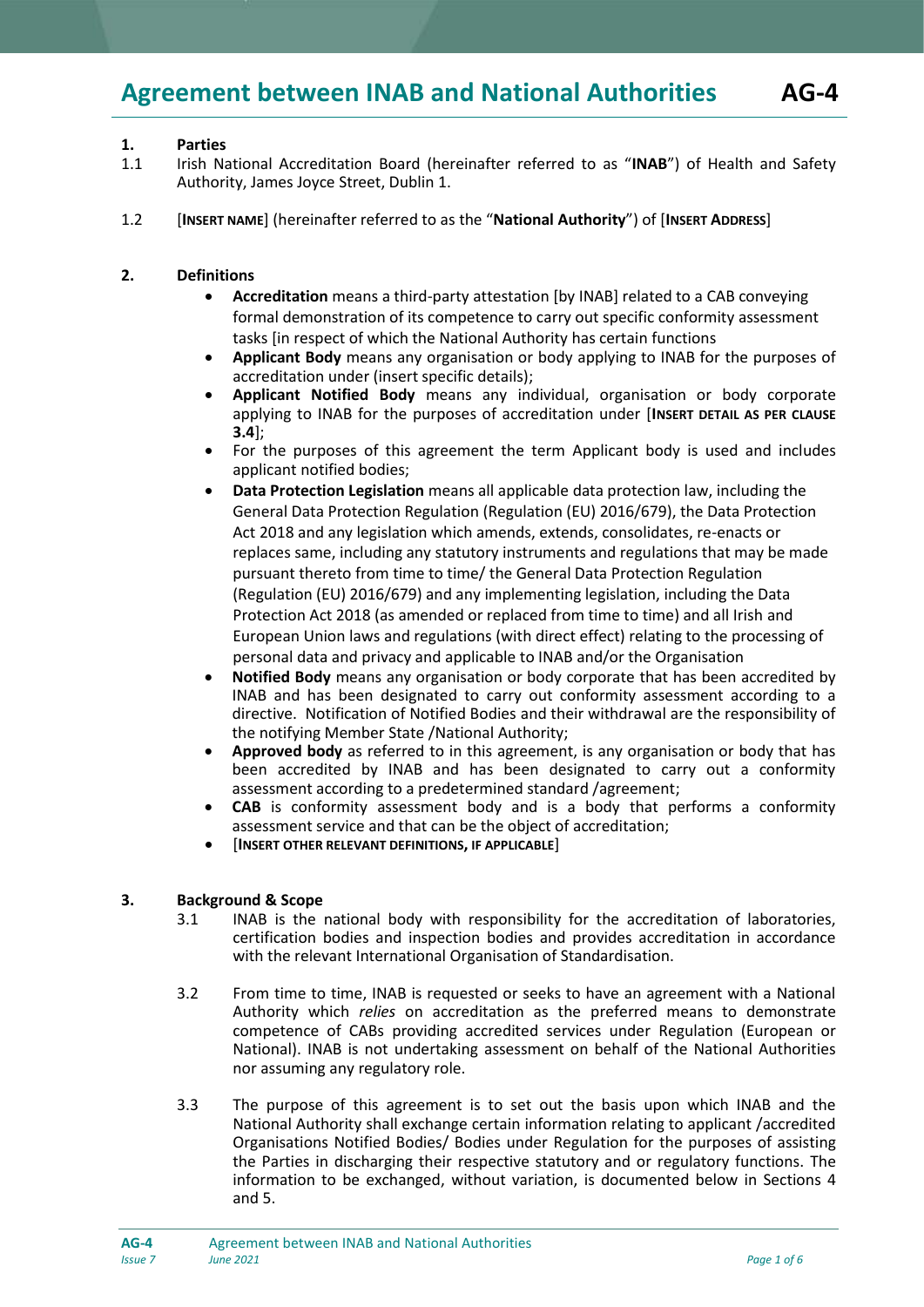# **1. Parties**

- 1.1 Irish National Accreditation Board (hereinafter referred to as "**INAB**") of Health and Safety Authority, James Joyce Street, Dublin 1.
- 1.2 [**INSERT NAME**] (hereinafter referred to as the "**National Authority**") of [**INSERT ADDRESS**]

## **2. Definitions**

- **Accreditation** means a third-party attestation [by INAB] related to a CAB conveying formal demonstration of its competence to carry out specific conformity assessment tasks [in respect of which the National Authority has certain functions
- **Applicant Body** means any organisation or body applying to INAB for the purposes of accreditation under (insert specific details);
- **Applicant Notified Body** means any individual, organisation or body corporate applying to INAB for the purposes of accreditation under [**INSERT DETAIL AS PER CLAUSE 3.4**];
- For the purposes of this agreement the term Applicant body is used and includes applicant notified bodies;
- **Data Protection Legislation** means all applicable data protection law, including the General Data Protection Regulation (Regulation (EU) 2016/679), the Data Protection Act 2018 and any legislation which amends, extends, consolidates, re-enacts or replaces same, including any statutory instruments and regulations that may be made pursuant thereto from time to time/ the General Data Protection Regulation (Regulation (EU) 2016/679) and any implementing legislation, including the Data Protection Act 2018 (as amended or replaced from time to time) and all Irish and European Union laws and regulations (with direct effect) relating to the processing of personal data and privacy and applicable to INAB and/or the Organisation
- **Notified Body** means any organisation or body corporate that has been accredited by INAB and has been designated to carry out conformity assessment according to a directive. Notification of Notified Bodies and their withdrawal are the responsibility of the notifying Member State /National Authority;
- **Approved body** as referred to in this agreement, is any organisation or body that has been accredited by INAB and has been designated to carry out a conformity assessment according to a predetermined standard /agreement;
- **CAB** is conformity assessment body and is a body that performs a conformity assessment service and that can be the object of accreditation;
- [**INSERT OTHER RELEVANT DEFINITIONS, IF APPLICABLE**]

# **3. Background & Scope**

- 3.1 INAB is the national body with responsibility for the accreditation of laboratories, certification bodies and inspection bodies and provides accreditation in accordance with the relevant International Organisation of Standardisation.
- 3.2 From time to time, INAB is requested or seeks to have an agreement with a National Authority which *relies* on accreditation as the preferred means to demonstrate competence of CABs providing accredited services under Regulation (European or National). INAB is not undertaking assessment on behalf of the National Authorities nor assuming any regulatory role.
- 3.3 The purpose of this agreement is to set out the basis upon which INAB and the National Authority shall exchange certain information relating to applicant /accredited Organisations Notified Bodies/ Bodies under Regulation for the purposes of assisting the Parties in discharging their respective statutory and or regulatory functions. The information to be exchanged, without variation, is documented below in Sections 4 and 5.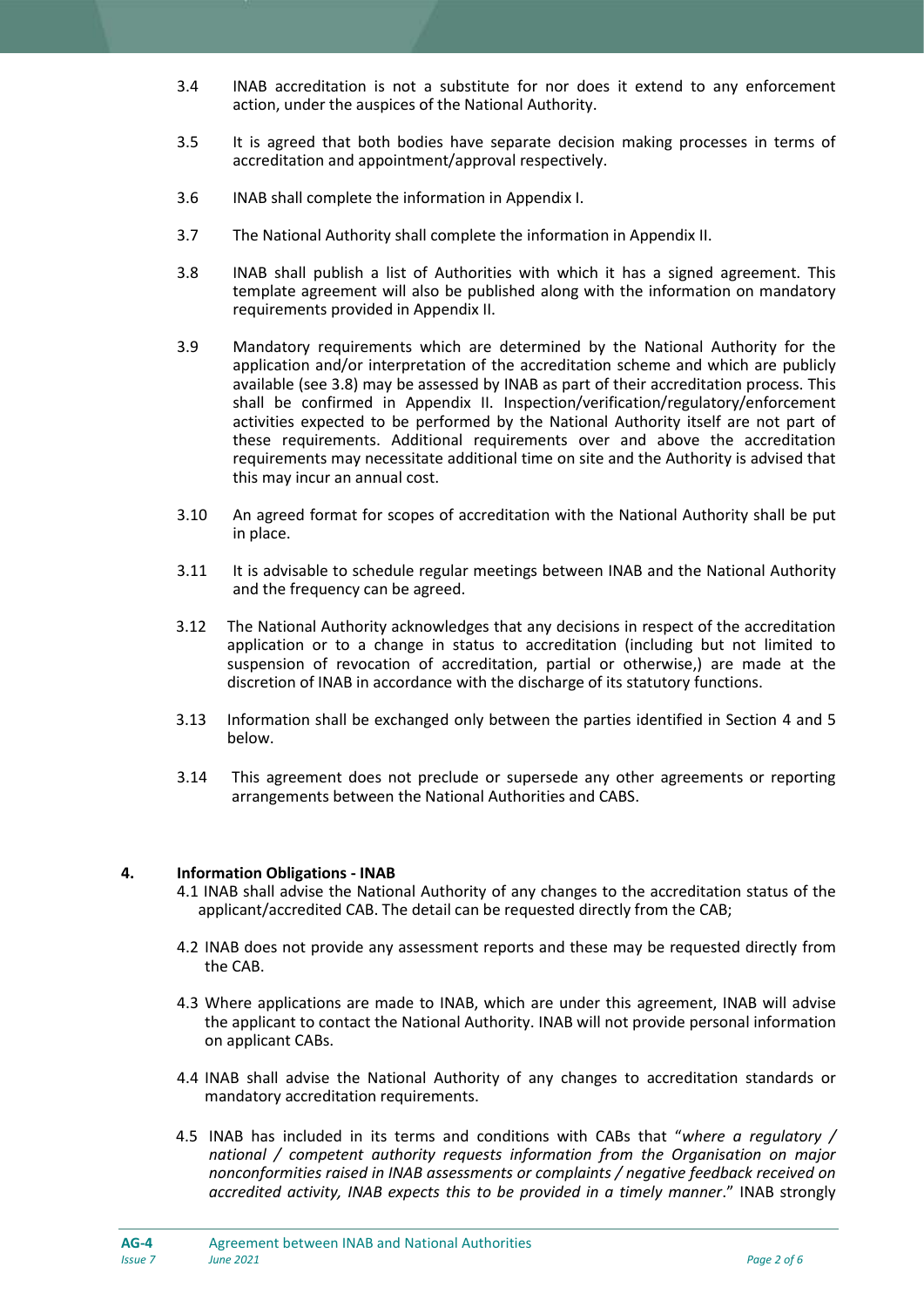- 3.4 INAB accreditation is not a substitute for nor does it extend to any enforcement action, under the auspices of the National Authority.
- 3.5 It is agreed that both bodies have separate decision making processes in terms of accreditation and appointment/approval respectively.
- 3.6 INAB shall complete the information in Appendix I.
- 3.7 The National Authority shall complete the information in Appendix II.
- 3.8 INAB shall publish a list of Authorities with which it has a signed agreement. This template agreement will also be published along with the information on mandatory requirements provided in Appendix II.
- 3.9 Mandatory requirements which are determined by the National Authority for the application and/or interpretation of the accreditation scheme and which are publicly available (see 3.8) may be assessed by INAB as part of their accreditation process. This shall be confirmed in Appendix II. Inspection/verification/regulatory/enforcement activities expected to be performed by the National Authority itself are not part of these requirements. Additional requirements over and above the accreditation requirements may necessitate additional time on site and the Authority is advised that this may incur an annual cost.
- 3.10 An agreed format for scopes of accreditation with the National Authority shall be put in place.
- 3.11 It is advisable to schedule regular meetings between INAB and the National Authority and the frequency can be agreed.
- 3.12 The National Authority acknowledges that any decisions in respect of the accreditation application or to a change in status to accreditation (including but not limited to suspension of revocation of accreditation, partial or otherwise,) are made at the discretion of INAB in accordance with the discharge of its statutory functions.
- 3.13 Information shall be exchanged only between the parties identified in Section 4 and 5 below.
- 3.14 This agreement does not preclude or supersede any other agreements or reporting arrangements between the National Authorities and CABS.

#### **4. Information Obligations - INAB**

- 4.1 INAB shall advise the National Authority of any changes to the accreditation status of the applicant/accredited CAB. The detail can be requested directly from the CAB;
- 4.2 INAB does not provide any assessment reports and these may be requested directly from the CAB.
- 4.3 Where applications are made to INAB, which are under this agreement, INAB will advise the applicant to contact the National Authority. INAB will not provide personal information on applicant CABs.
- 4.4 INAB shall advise the National Authority of any changes to accreditation standards or mandatory accreditation requirements.
- 4.5 INAB has included in its terms and conditions with CABs that "*where a regulatory / national / competent authority requests information from the Organisation on major nonconformities raised in INAB assessments or complaints / negative feedback received on accredited activity, INAB expects this to be provided in a timely manner*." INAB strongly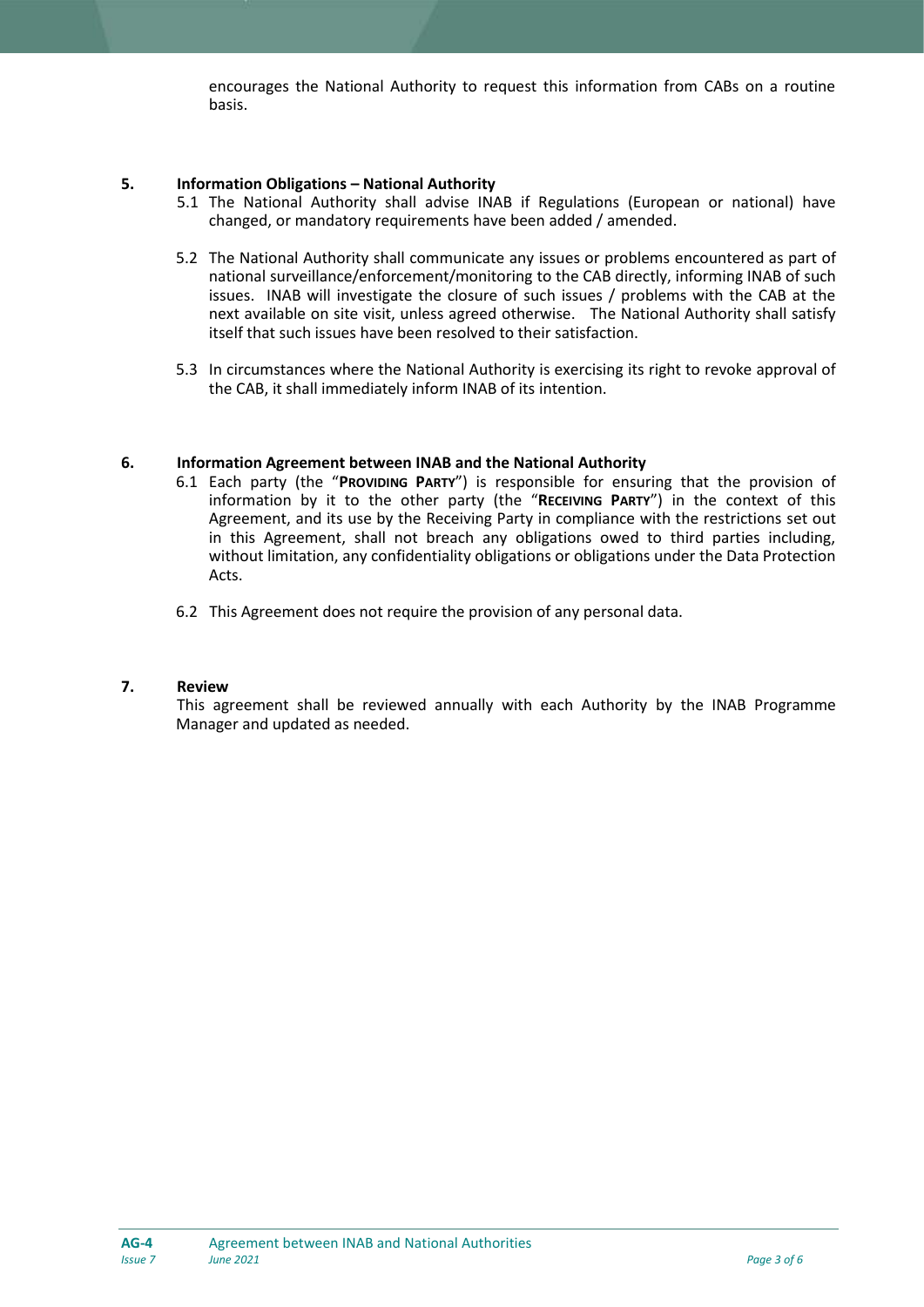encourages the National Authority to request this information from CABs on a routine basis.

## **5. Information Obligations – National Authority**

- 5.1 The National Authority shall advise INAB if Regulations (European or national) have changed, or mandatory requirements have been added / amended.
- 5.2 The National Authority shall communicate any issues or problems encountered as part of national surveillance/enforcement/monitoring to the CAB directly, informing INAB of such issues. INAB will investigate the closure of such issues / problems with the CAB at the next available on site visit, unless agreed otherwise. The National Authority shall satisfy itself that such issues have been resolved to their satisfaction.
- 5.3 In circumstances where the National Authority is exercising its right to revoke approval of the CAB, it shall immediately inform INAB of its intention.

### **6. Information Agreement between INAB and the National Authority**

- 6.1 Each party (the "**PROVIDING PARTY**") is responsible for ensuring that the provision of information by it to the other party (the "**RECEIVING PARTY**") in the context of this Agreement, and its use by the Receiving Party in compliance with the restrictions set out in this Agreement, shall not breach any obligations owed to third parties including, without limitation, any confidentiality obligations or obligations under the Data Protection Acts.
- 6.2 This Agreement does not require the provision of any personal data.

#### **7. Review**

This agreement shall be reviewed annually with each Authority by the INAB Programme Manager and updated as needed.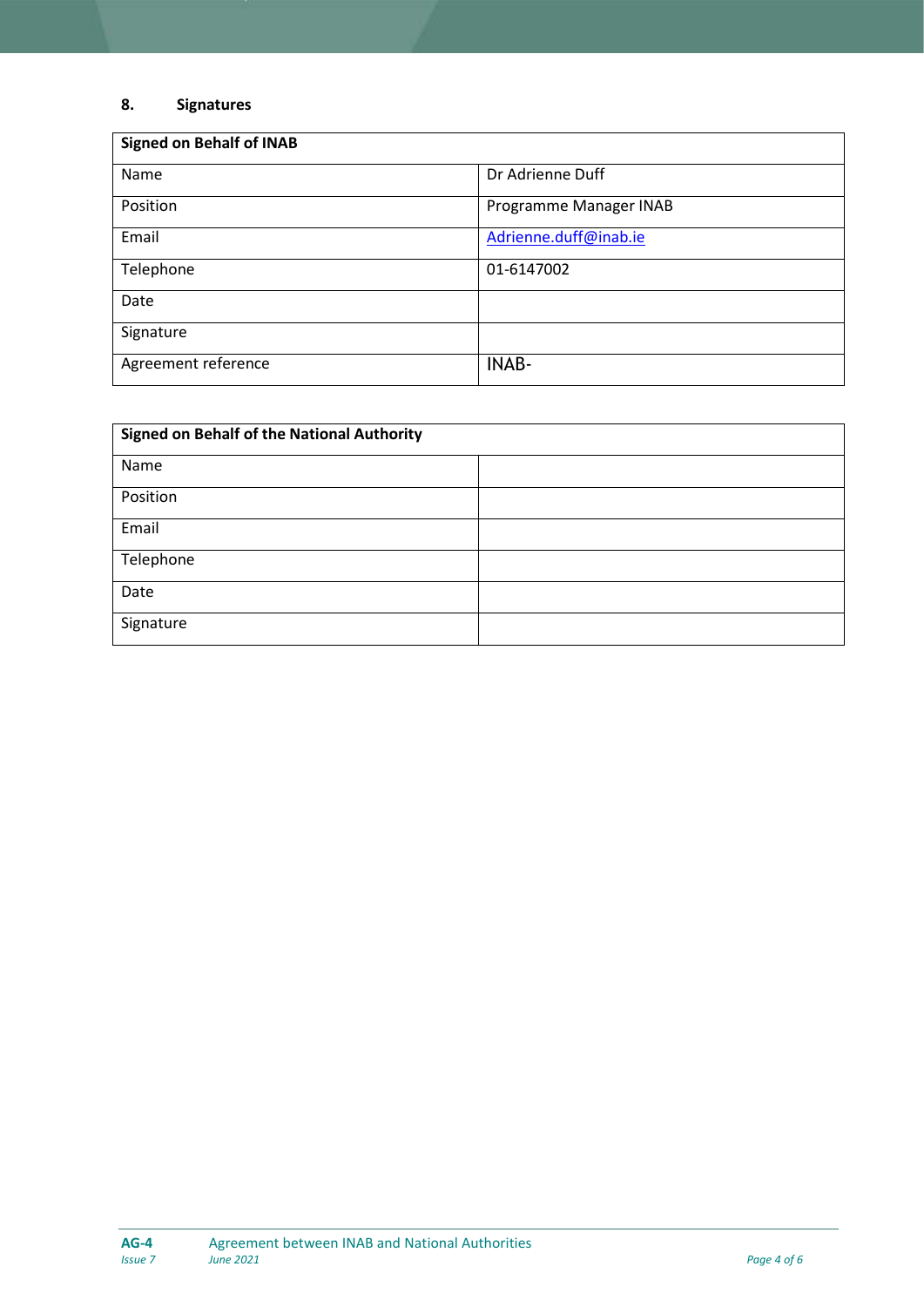# **8. Signatures**

| <b>Signed on Behalf of INAB</b> |                        |  |  |  |  |  |
|---------------------------------|------------------------|--|--|--|--|--|
| Name                            | Dr Adrienne Duff       |  |  |  |  |  |
| Position                        | Programme Manager INAB |  |  |  |  |  |
| Email                           | Adrienne.duff@inab.ie  |  |  |  |  |  |
| Telephone                       | 01-6147002             |  |  |  |  |  |
| Date                            |                        |  |  |  |  |  |
| Signature                       |                        |  |  |  |  |  |
| Agreement reference             | <b>INAB-</b>           |  |  |  |  |  |

| <b>Signed on Behalf of the National Authority</b> |  |  |  |  |  |  |
|---------------------------------------------------|--|--|--|--|--|--|
| Name                                              |  |  |  |  |  |  |
| Position                                          |  |  |  |  |  |  |
| Email                                             |  |  |  |  |  |  |
| Telephone                                         |  |  |  |  |  |  |
| Date                                              |  |  |  |  |  |  |
| Signature                                         |  |  |  |  |  |  |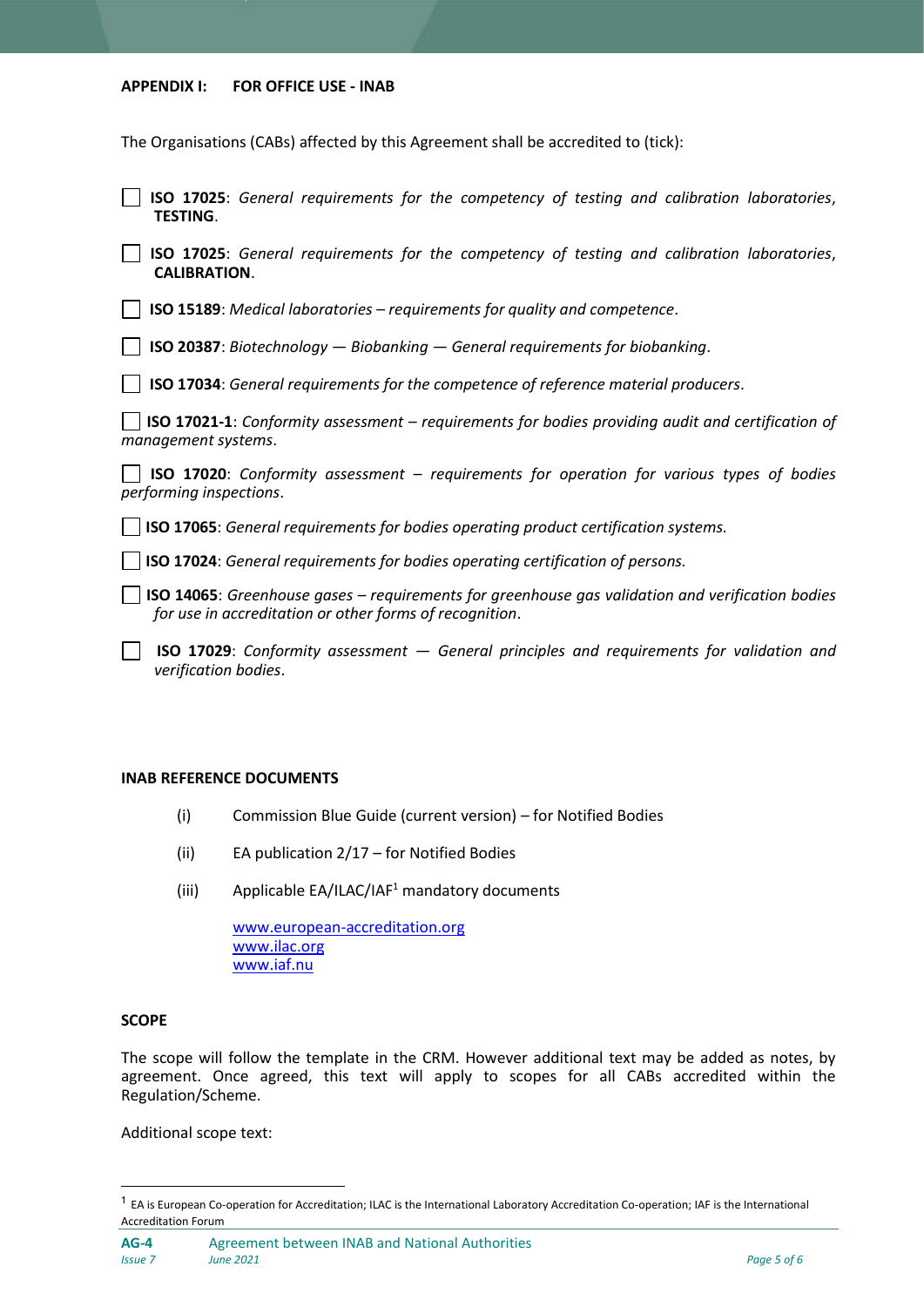#### **APPENDIX I: FOR OFFICE USE - INAB**

The Organisations (CABs) affected by this Agreement shall be accredited to (tick):

|                 | <b>SO 17025:</b> General requirements for the competency of testing and calibration laboratories, |  |  |  |  |
|-----------------|---------------------------------------------------------------------------------------------------|--|--|--|--|
| <b>TESTING.</b> |                                                                                                   |  |  |  |  |

**ISO 17025**: *General requirements for the competency of testing and calibration laboratories*, **CALIBRATION**.

**ISO 15189**: *Medical laboratories – requirements for quality and competence*.

**ISO 20387**: *Biotechnology — Biobanking — General requirements for biobanking*.

**ISO 17034**: *General requirements for the competence of reference material producers*.

**ISO 17021-1**: *Conformity assessment – requirements for bodies providing audit and certification of management systems*.

**ISO 17020**: *Conformity assessment – requirements for operation for various types of bodies performing inspections*.

**ISO 17065**: *General requirements for bodies operating product certification systems.* 

**ISO 17024**: *General requirements for bodies operating certification of persons.*

**ISO 14065**: *Greenhouse gases – requirements for greenhouse gas validation and verification bodies for use in accreditation or other forms of recognition*.

 **ISO 17029**: *Conformity assessment — General principles and requirements for validation and verification bodies*.

#### **INAB REFERENCE DOCUMENTS**

- (i) Commission Blue Guide (current version) for Notified Bodies
- (ii) EA publication 2/17 for Notified Bodies
- (iii) Applicable EA/ILAC/IAF<sup>1</sup> mandatory documents

[www.european-accreditation.org](http://www.european-accreditation.org/) [www.ilac.org](http://www.ilac.org/) [www.iaf.nu](http://www.iaf.nu/)

#### **SCOPE**

 $\overline{a}$ 

The scope will follow the template in the CRM. However additional text may be added as notes, by agreement. Once agreed, this text will apply to scopes for all CABs accredited within the Regulation/Scheme.

Additional scope text:

<sup>&</sup>lt;sup>1</sup> EA is European Co-operation for Accreditation; ILAC is the International Laboratory Accreditation Co-operation; IAF is the International Accreditation Forum